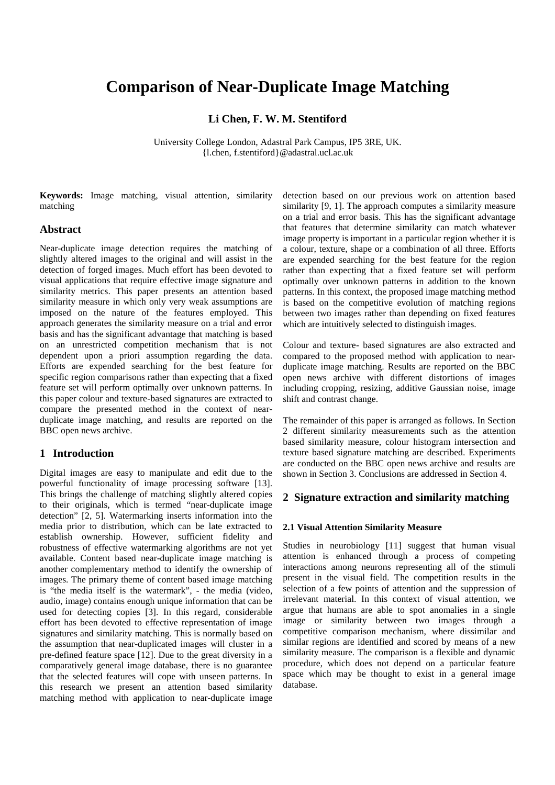# **Comparison of Near-Duplicate Image Matching**

## **Li Chen, F. W. M. Stentiford**

University College London, Adastral Park Campus, IP5 3RE, UK. {l.chen, f.stentiford}@adastral.ucl.ac.uk

**Keywords:** Image matching, visual attention, similarity matching

## **Abstract**

Near-duplicate image detection requires the matching of slightly altered images to the original and will assist in the detection of forged images. Much effort has been devoted to visual applications that require effective image signature and similarity metrics. This paper presents an attention based similarity measure in which only very weak assumptions are imposed on the nature of the features employed. This approach generates the similarity measure on a trial and error basis and has the significant advantage that matching is based on an unrestricted competition mechanism that is not dependent upon a priori assumption regarding the data. Efforts are expended searching for the best feature for specific region comparisons rather than expecting that a fixed feature set will perform optimally over unknown patterns. In this paper colour and texture-based signatures are extracted to compare the presented method in the context of nearduplicate image matching, and results are reported on the BBC open news archive.

## **1 Introduction**

Digital images are easy to manipulate and edit due to the powerful functionality of image processing software [13]. This brings the challenge of matching slightly altered copies to their originals, which is termed "near-duplicate image detection" [2, 5]. Watermarking inserts information into the media prior to distribution, which can be late extracted to establish ownership. However, sufficient fidelity and robustness of effective watermarking algorithms are not yet available. Content based near-duplicate image matching is another complementary method to identify the ownership of images. The primary theme of content based image matching is "the media itself is the watermark", - the media (video, audio, image) contains enough unique information that can be used for detecting copies [3]. In this regard, considerable effort has been devoted to effective representation of image signatures and similarity matching. This is normally based on the assumption that near-duplicated images will cluster in a pre-defined feature space [12]. Due to the great diversity in a comparatively general image database, there is no guarantee that the selected features will cope with unseen patterns. In this research we present an attention based similarity matching method with application to near-duplicate image detection based on our previous work on attention based similarity [9, 1]. The approach computes a similarity measure on a trial and error basis. This has the significant advantage that features that determine similarity can match whatever image property is important in a particular region whether it is a colour, texture, shape or a combination of all three. Efforts are expended searching for the best feature for the region rather than expecting that a fixed feature set will perform optimally over unknown patterns in addition to the known patterns. In this context, the proposed image matching method is based on the competitive evolution of matching regions between two images rather than depending on fixed features which are intuitively selected to distinguish images.

Colour and texture- based signatures are also extracted and compared to the proposed method with application to nearduplicate image matching. Results are reported on the BBC open news archive with different distortions of images including cropping, resizing, additive Gaussian noise, image shift and contrast change.

The remainder of this paper is arranged as follows. In Section 2 different similarity measurements such as the attention based similarity measure, colour histogram intersection and texture based signature matching are described. Experiments are conducted on the BBC open news archive and results are shown in Section 3. Conclusions are addressed in Section 4.

### **2 Signature extraction and similarity matching**

#### **2.1 Visual Attention Similarity Measure**

Studies in neurobiology [11] suggest that human visual attention is enhanced through a process of competing interactions among neurons representing all of the stimuli present in the visual field. The competition results in the selection of a few points of attention and the suppression of irrelevant material. In this context of visual attention, we argue that humans are able to spot anomalies in a single image or similarity between two images through a competitive comparison mechanism, where dissimilar and similar regions are identified and scored by means of a new similarity measure. The comparison is a flexible and dynamic procedure, which does not depend on a particular feature space which may be thought to exist in a general image database.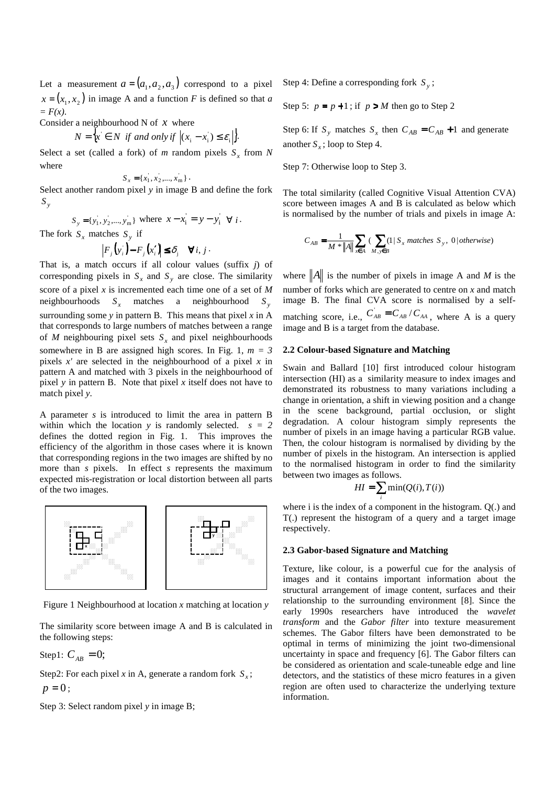Let a measurement  $a = (a_1, a_2, a_3)$  correspond to a pixel  $x = (x_1, x_2)$  in image A and a function *F* is defined so that *a = F(x)*.

Consider a neighbourhood N of *x* where

$$
N = \{x \in N \text{ if and only if } |(x_i - x_i) \le \varepsilon_i|\}.
$$

Select a set (called a fork) of *m* random pixels  $S<sub>x</sub>$  from *N* where

$$
S_x = \{x_1, x_2, \dots, x_m\}.
$$

Select another random pixel *y* in image B and define the fork *S y*

$$
S_y = \{y_1, y_2, ..., y_m\}
$$
 where  $x - x_i = y - y_i \forall i$ .

The fork  $S_x$  matches  $S_y$  if

$$
\left|F_j\left(y_i\right) - F_j\left(x_i'\right)\right| \leq \delta_j \quad \forall i, j.
$$

That is, a match occurs if all colour values (suffix *j*) of corresponding pixels in  $S_x$  and  $S_y$  are close. The similarity score of a pixel *x* is incremented each time one of a set of *M* neighbourhoods *<sup>x</sup> S* matches a neighbourhood *S <sup>y</sup>* surrounding some  $y$  in pattern B. This means that pixel  $x$  in A that corresponds to large numbers of matches between a range of *M* neighbouring pixel sets  $S<sub>x</sub>$  and pixel neighbourhoods somewhere in B are assigned high scores. In Fig. 1,  $m = 3$ pixels *x'* are selected in the neighbourhood of a pixel *x* in pattern A and matched with 3 pixels in the neighbourhood of pixel *y* in pattern B. Note that pixel *x* itself does not have to match pixel *y*.

A parameter *s* is introduced to limit the area in pattern B within which the location  $y$  is randomly selected.  $s = 2$ defines the dotted region in Fig. 1. This improves the efficiency of the algorithm in those cases where it is known that corresponding regions in the two images are shifted by no more than *s* pixels. In effect *s* represents the maximum expected mis-registration or local distortion between all parts of the two images.



Figure 1 Neighbourhood at location *x* matching at location *y*

The similarity score between image A and B is calculated in the following steps:

Step1:  $C_{AB} = 0$ ;

Step2: For each pixel *x* in A, generate a random fork  $S_x$ ;  $p = 0$ ;

Step 3: Select random pixel *y* in image B;

Step 4: Define a corresponding fork *S <sup>y</sup>* ;

Step 5:  $p = p + 1$ ; if  $p > M$  then go to Step 2

Step 6: If  $S_y$  matches  $S_x$  then  $C_{AB} = C_{AB} + 1$  and generate another  $S_x$ ; loop to Step 4.

Step 7: Otherwise loop to Step 3.

The total similarity (called Cognitive Visual Attention CVA) score between images A and B is calculated as below which is normalised by the number of trials and pixels in image A:

$$
C_{AB} = \frac{1}{M \cdot \|A\|} \sum_{x \in A} \left( \sum_{M, y \in B} (1 \mid S_x \text{ matches } S_y, 0 \mid otherwise \right)
$$

where  $||A||$  is the number of pixels in image A and M is the number of forks which are generated to centre on *x* and match image B. The final CVA score is normalised by a selfmatching score, i.e.,  $C_{AB} = C_{AB} / C_{AA}$ , where A is a query image and B is a target from the database.

#### **2.2 Colour-based Signature and Matching**

Swain and Ballard [10] first introduced colour histogram intersection (HI) as a similarity measure to index images and demonstrated its robustness to many variations including a change in orientation, a shift in viewing position and a change in the scene background, partial occlusion, or slight degradation. A colour histogram simply represents the number of pixels in an image having a particular RGB value. Then, the colour histogram is normalised by dividing by the number of pixels in the histogram. An intersection is applied to the normalised histogram in order to find the similarity between two images as follows.

$$
HI = \sum_{i} \min(Q(i), T(i))
$$

where i is the index of a component in the histogram. Q(.) and T(.) represent the histogram of a query and a target image respectively.

#### **2.3 Gabor-based Signature and Matching**

Texture, like colour, is a powerful cue for the analysis of images and it contains important information about the structural arrangement of image content, surfaces and their relationship to the surrounding environment [8]. Since the early 1990s researchers have introduced the *wavelet transform* and the *Gabor filter* into texture measurement schemes. The Gabor filters have been demonstrated to be optimal in terms of minimizing the joint two-dimensional uncertainty in space and frequency [6]. The Gabor filters can be considered as orientation and scale-tuneable edge and line detectors, and the statistics of these micro features in a given region are often used to characterize the underlying texture information.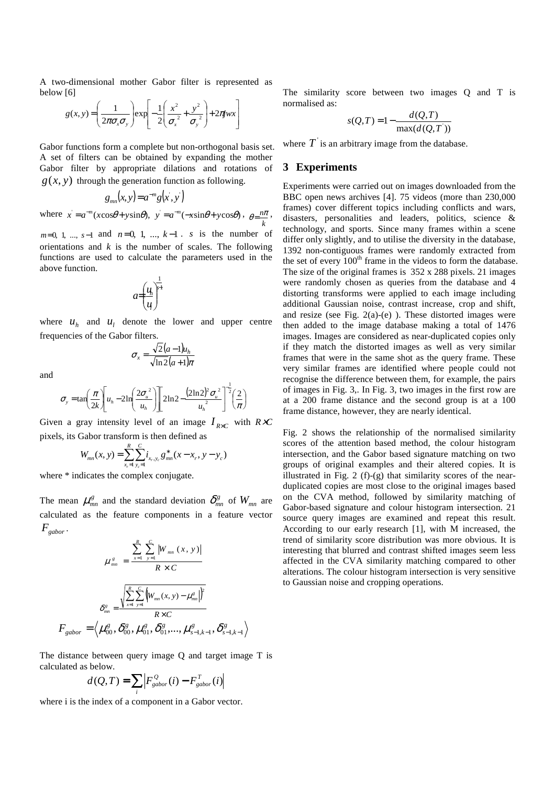A two-dimensional mother Gabor filter is represented as below [6]

$$
g(x, y) = \left(\frac{1}{2\pi\sigma_x\sigma_y}\right) \exp\left[-\frac{1}{2}\left(\frac{x^2}{\sigma_x^2} + \frac{y^2}{\sigma_y^2}\right) + 2\pi jwx\right]
$$

Gabor functions form a complete but non-orthogonal basis set. A set of filters can be obtained by expanding the mother Gabor filter by appropriate dilations and rotations of  $g(x, y)$  through the generation function as following.

$$
g_{mn}(x, y) = a^{-m}g(x, y)
$$

where  $x = a^{-m}(x \cos \theta + y \sin \theta)$ ,  $y = a^{-m}(-x \sin \theta + y \cos \theta)$ , *k*  $\theta = \frac{n\pi}{l}$ ,

 $m=0, 1, ..., s-1$  and  $n=0, 1, ..., k-1$ . *s* is the number of orientations and *k* is the number of scales. The following functions are used to calculate the parameters used in the above function.

1

$$
a=\left(\frac{u_h}{u}\right)^{\frac{1}{v-1}}
$$

where  $u_h$  and  $u_l$  denote the lower and upper centre frequencies of the Gabor filters.

$$
\sigma_x = \frac{\sqrt{2}(a-1)u_h}{\sqrt{\ln 2}(a+1)\pi}
$$

and

$$
\sigma_{y} = \tan\left(\frac{\pi}{2k}\right)\left[u_h - 2\ln\left(\frac{2\sigma_u^2}{u_h}\right)\right] \left[2\ln 2 - \frac{(2\ln 2)^2 \sigma_u^2}{u_h^2}\right]^{-\frac{1}{2}} \left(\frac{2}{\pi}\right)
$$

Given a gray intensity level of an image  $I_{R \times C}$  with  $R \times C$ pixels, its Gabor transform is then defined as

$$
W_{mn}(x, y) = \sum_{x_r=1}^{R} \sum_{y_c=1}^{C} i_{x_r, y_c} g_{mn}^{*}(x - x_r, y - y_c)
$$

where  $*$  indicates the complex conjugate.

The mean  $\mu_{mn}^g$  and the standard deviation  $\delta_{mn}^g$  of  $W_{mn}$  are calculated as the feature components in a feature vector  $F_{\textit{sabor}}$ .

$$
\mu_{mn}^{g} = \frac{\sum_{x=1}^{R} \sum_{y=1}^{C} |W_{mn}(x, y)|}{R \times C}
$$

$$
\delta_{mn}^{g} = \frac{\sqrt{\sum_{x=1}^{R} \sum_{y=1}^{C} (W_{mn}(x, y) - \mu_{mn}^{g}|)^{2}}}{R \times C}
$$

$$
F_{gabor} = \langle \mu_{00}^{g}, \delta_{00}^{g}, \mu_{01}^{g}, \delta_{01}^{g}, ..., \mu_{s-1,k-1}^{g}, \delta_{s-1,k-1}^{g} \rangle
$$

The distance between query image Q and target image T is calculated as below.

$$
d(Q,T) = \sum_{i} \left| F_{\text{gabor}}^{Q}(i) - F_{\text{gabor}}^{T}(i) \right|
$$

where i is the index of a component in a Gabor vector.

The similarity score between two images Q and T is normalised as:

$$
s(Q,T) = 1 - \frac{d(Q,T)}{\max(d(Q,T'))}
$$

where  $T$  is an arbitrary image from the database.

## **3 Experiments**

Experiments were carried out on images downloaded from the BBC open news archives [4]. 75 videos (more than 230,000 frames) cover different topics including conflicts and wars, disasters, personalities and leaders, politics, science & technology, and sports. Since many frames within a scene differ only slightly, and to utilise the diversity in the database, 1392 non-contiguous frames were randomly extracted from the set of every  $100<sup>th</sup>$  frame in the videos to form the database. The size of the original frames is 352 x 288 pixels. 21 images were randomly chosen as queries from the database and 4 distorting transforms were applied to each image including additional Gaussian noise, contrast increase, crop and shift, and resize (see Fig.  $2(a)-(e)$ ). These distorted images were then added to the image database making a total of 1476 images. Images are considered as near-duplicated copies only if they match the distorted images as well as very similar frames that were in the same shot as the query frame. These very similar frames are identified where people could not recognise the difference between them, for example, the pairs of images in Fig. 3,. In Fig. 3, two images in the first row are at a 200 frame distance and the second group is at a 100 frame distance, however, they are nearly identical.

Fig. 2 shows the relationship of the normalised similarity scores of the attention based method, the colour histogram intersection, and the Gabor based signature matching on two groups of original examples and their altered copies. It is illustrated in Fig. 2 (f)-(g) that similarity scores of the nearduplicated copies are most close to the original images based on the CVA method, followed by similarity matching of Gabor-based signature and colour histogram intersection. 21 source query images are examined and repeat this result. According to our early research [1], with M increased, the trend of similarity score distribution was more obvious. It is interesting that blurred and contrast shifted images seem less affected in the CVA similarity matching compared to other alterations. The colour histogram intersection is very sensitive to Gaussian noise and cropping operations.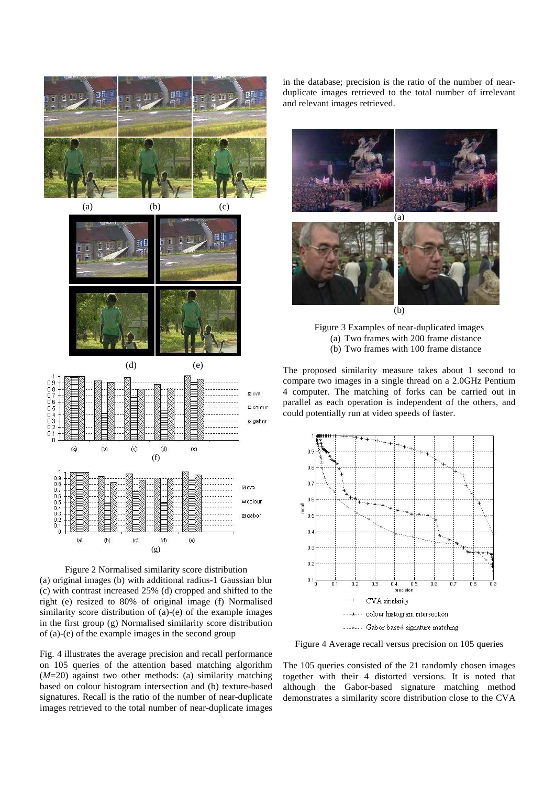







Fig. 4 illustrates the average precision and recall performance on 105 queries of the attention based matching algorithm (*M*=20) against two other methods: (a) similarity matching based on colour histogram intersection and (b) texture-based signatures. Recall is the ratio of the number of near-duplicate images retrieved to the total number of near-duplicate images in the database; precision is the ratio of the number of nearduplicate images retrieved to the total number of irrelevant and relevant images retrieved.



Figure 3 Examples of near-duplicated images (a) Two frames with 200 frame distance (b) Two frames with 100 frame distance

The proposed similarity measure takes about 1 second to compare two images in a single thread on a 2.0GHz Pentium 4 computer. The matching of forks can be carried out in parallel as each operation is independent of the others, and could potentially run at video speeds of faster.



Figure 4 Average recall versus precision on 105 queries

The 105 queries consisted of the 21 randomly chosen images together with their 4 distorted versions. It is noted that although the Gabor-based signature matching method demonstrates a similarity score distribution close to the CVA